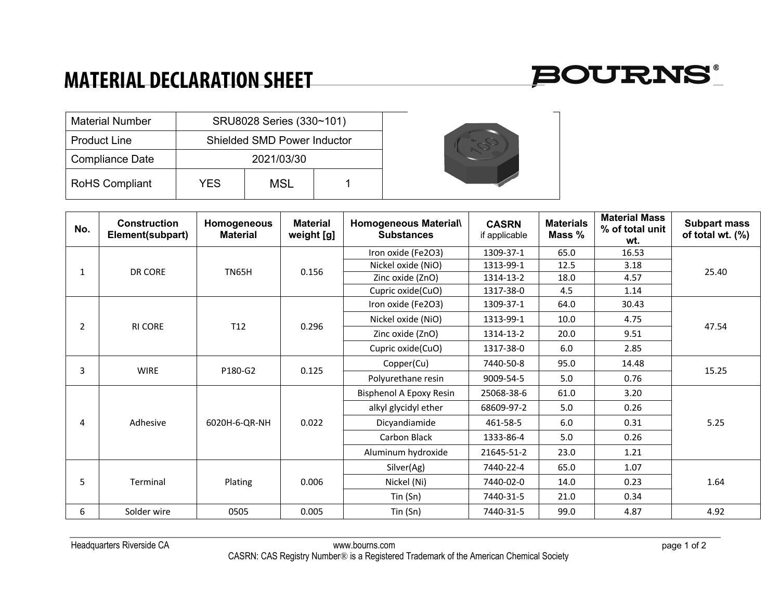## **MATERIAL DECLARATION SHEET**



| <b>Material Number</b> |     | SRU8028 Series (330~101)    |  |
|------------------------|-----|-----------------------------|--|
| <b>Product Line</b>    |     | Shielded SMD Power Inductor |  |
| <b>Compliance Date</b> |     | 2021/03/30                  |  |
| <b>RoHS Compliant</b>  | YES | MSL                         |  |

| No. | <b>Construction</b><br>Element(subpart) | Homogeneous<br><b>Material</b> | <b>Material</b><br>weight [g] | <b>Homogeneous Material\</b><br><b>Substances</b> | <b>CASRN</b><br>if applicable | <b>Materials</b><br>Mass % | <b>Material Mass</b><br>% of total unit<br>wt. | <b>Subpart mass</b><br>of total wt. (%) |  |  |
|-----|-----------------------------------------|--------------------------------|-------------------------------|---------------------------------------------------|-------------------------------|----------------------------|------------------------------------------------|-----------------------------------------|--|--|
|     |                                         |                                |                               | Iron oxide (Fe2O3)                                | 1309-37-1                     | 65.0                       | 16.53                                          |                                         |  |  |
| 1   | DR CORE                                 | <b>TN65H</b>                   | 0.156                         | Nickel oxide (NiO)                                | 1313-99-1                     | 12.5                       | 3.18                                           | 25.40                                   |  |  |
|     |                                         |                                |                               | Zinc oxide (ZnO)                                  | 1314-13-2                     | 18.0                       | 4.57                                           |                                         |  |  |
|     |                                         |                                |                               | Cupric oxide(CuO)                                 | 1317-38-0                     | 4.5                        | 1.14                                           |                                         |  |  |
|     |                                         |                                |                               | Iron oxide (Fe2O3)                                | 1309-37-1                     | 64.0                       | 30.43                                          |                                         |  |  |
| 2   | <b>RI CORE</b>                          | T <sub>12</sub>                | 0.296                         | Nickel oxide (NiO)                                | 1313-99-1                     | 10.0                       | 4.75                                           | 47.54                                   |  |  |
|     |                                         |                                |                               | Zinc oxide (ZnO)                                  | 1314-13-2                     | 20.0                       | 9.51                                           |                                         |  |  |
|     |                                         |                                |                               | Cupric oxide(CuO)                                 | 1317-38-0                     | 6.0                        | 2.85                                           |                                         |  |  |
| 3   | <b>WIRE</b>                             | P180-G2                        | 0.125                         | Copper(Cu)                                        | 7440-50-8                     | 95.0                       | 14.48                                          | 15.25                                   |  |  |
|     |                                         |                                |                               | Polyurethane resin                                | 9009-54-5                     | 5.0                        | 0.76                                           |                                         |  |  |
|     |                                         |                                |                               | Bisphenol A Epoxy Resin                           | 25068-38-6                    | 61.0                       | 3.20                                           |                                         |  |  |
|     |                                         |                                |                               | alkyl glycidyl ether                              | 68609-97-2                    | 5.0                        | 0.26                                           |                                         |  |  |
| 4   | Adhesive                                | 6020H-6-QR-NH                  | 0.022                         | Dicyandiamide                                     | 461-58-5                      | 6.0                        | 0.31                                           | 5.25                                    |  |  |
|     |                                         |                                |                               | Carbon Black                                      | 1333-86-4                     | 5.0                        | 0.26                                           |                                         |  |  |
|     |                                         |                                |                               | Aluminum hydroxide                                | 21645-51-2                    | 23.0                       | 1.21                                           |                                         |  |  |
|     |                                         |                                |                               | Silver(Ag)                                        | 7440-22-4                     | 65.0                       | 1.07                                           |                                         |  |  |
| 5   | Terminal                                | Plating                        | 0.006                         | Nickel (Ni)                                       | 7440-02-0                     | 14.0                       | 0.23                                           | 1.64                                    |  |  |
|     |                                         |                                |                               | Tin (Sn)                                          | 7440-31-5                     | 21.0                       | 0.34                                           |                                         |  |  |
| 6   | Solder wire                             | 0505                           | 0.005                         | Tin (Sn)                                          | 7440-31-5                     | 99.0                       | 4.87                                           | 4.92                                    |  |  |